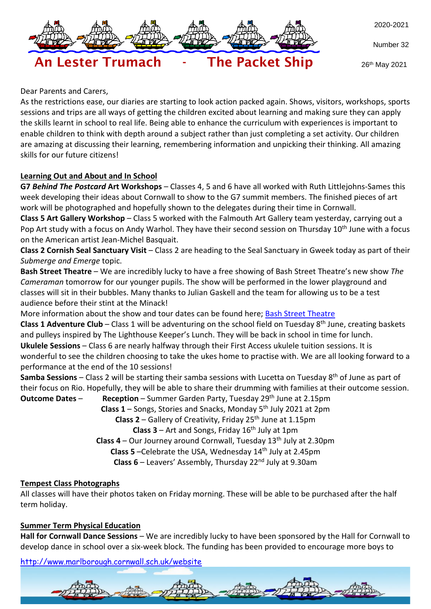

Number 32

26th May 2021

# An Lester Trumach - The Packet Ship

Dear Parents and Carers,

As the restrictions ease, our diaries are starting to look action packed again. Shows, visitors, workshops, sports sessions and trips are all ways of getting the children excited about learning and making sure they can apply the skills learnt in school to real life. Being able to enhance the curriculum with experiences is important to enable children to think with depth around a subject rather than just completing a set activity. Our children are amazing at discussing their learning, remembering information and unpicking their thinking. All amazing skills for our future citizens!

## **Learning Out and About and In School**

**G7** *Behind The Postcard* **Art Workshops** – Classes 4, 5 and 6 have all worked with Ruth Littlejohns-Sames this week developing their ideas about Cornwall to show to the G7 summit members. The finished pieces of art work will be photographed and hopefully shown to the delegates during their time in Cornwall.

**Class 5 Art Gallery Workshop** – Class 5 worked with the Falmouth Art Gallery team yesterday, carrying out a Pop Art study with a focus on Andy Warhol. They have their second session on Thursday 10<sup>th</sup> June with a focus on the American artist Jean-Michel Basquait.

**Class 2 Cornish Seal Sanctuary Visit** – Class 2 are heading to the Seal Sanctuary in Gweek today as part of their *Submerge and Emerge* topic.

**Bash Street Theatre** – We are incredibly lucky to have a free showing of Bash Street Theatre's new show *The Cameraman* tomorrow for our younger pupils. The show will be performed in the lower playground and classes will sit in their bubbles. Many thanks to Julian Gaskell and the team for allowing us to be a test audience before their stint at the Minack!

More information about the show and tour dates can be found here; Bash Street [Theatre](https://bashstreet.co.uk/the-cameraman-a-new-outdoor-show-for-2021/)

**Class 1 Adventure Club** – Class 1 will be adventuring on the school field on Tuesday 8 th June, creating baskets and pulleys inspired by The Lighthouse Keeper's Lunch. They will be back in school in time for lunch. **Ukulele Sessions** – Class 6 are nearly halfway through their First Access ukulele tuition sessions. It is wonderful to see the children choosing to take the ukes home to practise with. We are all looking forward to a performance at the end of the 10 sessions!

**Samba Sessions** – Class 2 will be starting their samba sessions with Lucetta on Tuesday 8<sup>th</sup> of June as part of their focus on Rio. Hopefully, they will be able to share their drumming with families at their outcome session.

**Outcome Dates** – **Reception** – Summer Garden Party, Tuesday 29th June at 2.15pm **Class 1** – Songs, Stories and Snacks, Monday 5 th July 2021 at 2pm **Class 2** – Gallery of Creativity, Friday 25<sup>th</sup> June at 1.15pm **Class 3** – Art and Songs, Friday 16th July at 1pm **Class 4** – Our Journey around Cornwall, Tuesday 13th July at 2.30pm **Class 5** –Celebrate the USA, Wednesday 14<sup>th</sup> July at 2.45pm **Class 6** – Leavers' Assembly, Thursday 22nd July at 9.30am

#### **Tempest Class Photographs**

All classes will have their photos taken on Friday morning. These will be able to be purchased after the half term holiday.

#### **Summer Term Physical Education**

**Hall for Cornwall Dance Sessions** – We are incredibly lucky to have been sponsored by the Hall for Cornwall to develop dance in school over a six-week block. The funding has been provided to encourage more boys to

<http://www.marlborough.cornwall.sch.uk/website>

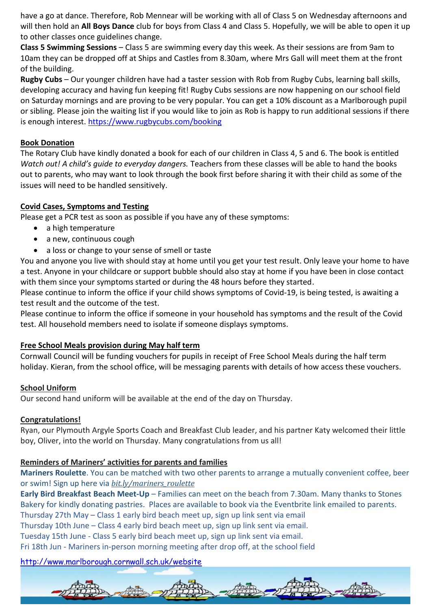have a go at dance. Therefore, Rob Mennear will be working with all of Class 5 on Wednesday afternoons and will then hold an **All Boys Dance** club for boys from Class 4 and Class 5. Hopefully, we will be able to open it up to other classes once guidelines change.

**Class 5 Swimming Sessions** – Class 5 are swimming every day this week. As their sessions are from 9am to 10am they can be dropped off at Ships and Castles from 8.30am, where Mrs Gall will meet them at the front of the building.

**Rugby Cubs** – Our younger children have had a taster session with Rob from Rugby Cubs, learning ball skills, developing accuracy and having fun keeping fit! Rugby Cubs sessions are now happening on our school field on Saturday mornings and are proving to be very popular. You can get a 10% discount as a Marlborough pupil or sibling. Please join the waiting list if you would like to join as Rob is happy to run additional sessions if there is enough interest. <https://www.rugbycubs.com/booking>

#### **Book Donation**

The Rotary Club have kindly donated a book for each of our children in Class 4, 5 and 6. The book is entitled *Watch out! A child's guide to everyday dangers.* Teachers from these classes will be able to hand the books out to parents, who may want to look through the book first before sharing it with their child as some of the issues will need to be handled sensitively.

#### **Covid Cases, Symptoms and Testing**

Please get a PCR test as soon as possible if you have any of these symptoms:

- a high temperature
- a new, continuous cough
- a loss or change to your sense of smell or taste

You and anyone you live with should stay at home until you get your test result. Only leave your home to have a test. Anyone in your childcare or support bubble should also stay at home if you have been in close contact with them since your symptoms started or during the 48 hours before they started.

Please continue to inform the office if your child shows symptoms of Covid-19, is being tested, is awaiting a test result and the outcome of the test.

Please continue to inform the office if someone in your household has symptoms and the result of the Covid test. All household members need to isolate if someone displays symptoms.

## **Free School Meals provision during May half term**

Cornwall Council will be funding vouchers for pupils in receipt of Free School Meals during the half term holiday. Kieran, from the school office, will be messaging parents with details of how access these vouchers.

#### **School Uniform**

Our second hand uniform will be available at the end of the day on Thursday.

#### **Congratulations!**

Ryan, our Plymouth Argyle Sports Coach and Breakfast Club leader, and his partner Katy welcomed their little boy, Oliver, into the world on Thursday. Many congratulations from us all!

#### **Reminders of Mariners' activities for parents and families**

**Mariners Roulette**. You can be matched with two other parents to arrange a mutually convenient coffee, beer or swim! Sign up here via *[bit.ly/mariners\\_roulette](http://bit.ly/mariners_roulette)*

**Early Bird Breakfast Beach Meet-Up** – Families can meet on the beach from 7.30am. Many thanks to Stones Bakery for kindly donating pastries. Places are available to book via the Eventbrite link emailed to parents. Thursday 27th May – Class 1 early bird beach meet up, sign up link sent via email

Thursday 10th June – Class 4 early bird beach meet up, sign up link sent via email.

Tuesday 15th June - Class 5 early bird beach meet up, sign up link sent via email.

Fri 18th Jun - Mariners in-person morning meeting after drop off, at the school field

<http://www.marlborough.cornwall.sch.uk/website>